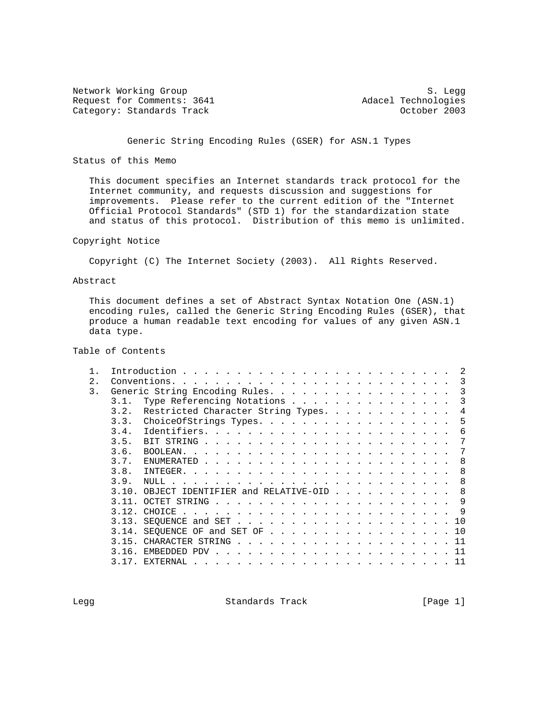Network Working Group<br>Request for Comments: 3641 Media and Adacel Technologies Request for Comments: 3641 <br>Category: Standards Track and the Category: Standards Track and the Category: Adacel Technologies Category: Standards Track

## Generic String Encoding Rules (GSER) for ASN.1 Types

Status of this Memo

 This document specifies an Internet standards track protocol for the Internet community, and requests discussion and suggestions for improvements. Please refer to the current edition of the "Internet Official Protocol Standards" (STD 1) for the standardization state and status of this protocol. Distribution of this memo is unlimited.

### Copyright Notice

Copyright (C) The Internet Society (2003). All Rights Reserved.

### Abstract

 This document defines a set of Abstract Syntax Notation One (ASN.1) encoding rules, called the Generic String Encoding Rules (GSER), that produce a human readable text encoding for values of any given ASN.1 data type.

# Table of Contents

|                  |       |                                                                                                                                                                                                                                               | 2   |
|------------------|-------|-----------------------------------------------------------------------------------------------------------------------------------------------------------------------------------------------------------------------------------------------|-----|
| $\overline{2}$ . |       |                                                                                                                                                                                                                                               | 3   |
| 3.               |       | Generic String Encoding Rules.                                                                                                                                                                                                                | 3   |
|                  | 3.1.  | Type Referencing Notations                                                                                                                                                                                                                    | 3   |
|                  | 3.2.  | Restricted Character String Types.                                                                                                                                                                                                            | 4   |
|                  | 3.3.  | ChoiceOfStrings Types.                                                                                                                                                                                                                        | 5   |
|                  | 3.4.  |                                                                                                                                                                                                                                               | 6   |
|                  | 3.5.  |                                                                                                                                                                                                                                               | 7   |
|                  | 3.6.  |                                                                                                                                                                                                                                               | 7   |
|                  | 3.7.  |                                                                                                                                                                                                                                               | 8   |
|                  | 3.8.  |                                                                                                                                                                                                                                               | 8   |
|                  | 3.9.  |                                                                                                                                                                                                                                               | 8   |
|                  | 3.10. | OBJECT IDENTIFIER and RELATIVE-OID                                                                                                                                                                                                            | 8   |
|                  |       |                                                                                                                                                                                                                                               | 9   |
|                  | 3 1 2 |                                                                                                                                                                                                                                               | - 9 |
|                  |       | $3.13.$ SEQUENCE and SET 10                                                                                                                                                                                                                   |     |
|                  | 3.14. | SEQUENCE OF and SET OF $\ldots$ $\ldots$ $\ldots$ $\ldots$ $\ldots$ $\ldots$ $\ldots$ $\ldots$                                                                                                                                                |     |
|                  | 3.15. | CHARACTER STRING 11                                                                                                                                                                                                                           |     |
|                  | 3.16. |                                                                                                                                                                                                                                               | -11 |
|                  | 317   | EXTERNAL<br>$\frac{1}{2}$ . The contract of the contract of the contract of the contract of the contract of the contract of the contract of the contract of the contract of the contract of the contract of the contract of the contract of t | -11 |
|                  |       |                                                                                                                                                                                                                                               |     |

Legg Standards Track [Page 1]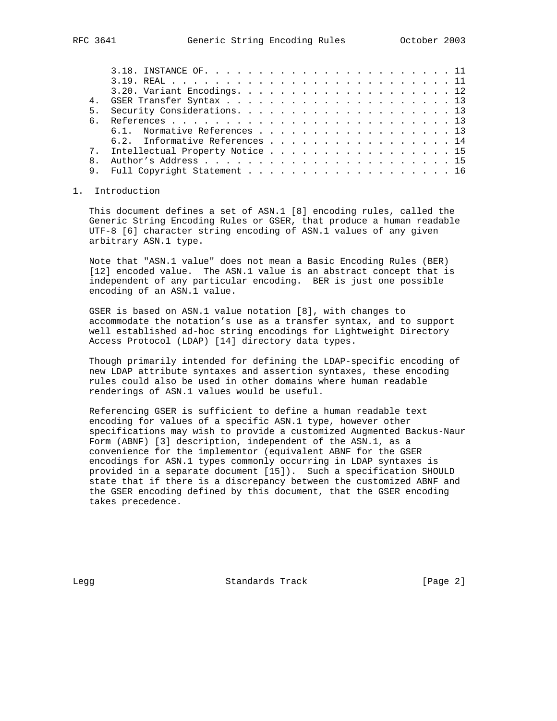|  | $3.20.$ Variant Encodings. 12      |
|--|------------------------------------|
|  |                                    |
|  |                                    |
|  |                                    |
|  | 6.1. Normative References 13       |
|  | 6.2. Informative References 14     |
|  | 7. Intellectual Property Notice 15 |

### 1. Introduction

 This document defines a set of ASN.1 [8] encoding rules, called the Generic String Encoding Rules or GSER, that produce a human readable UTF-8 [6] character string encoding of ASN.1 values of any given arbitrary ASN.1 type.

 8. Author's Address . . . . . . . . . . . . . . . . . . . . . . . 15 9. Full Copyright Statement . . . . . . . . . . . . . . . . . . 16

 Note that "ASN.1 value" does not mean a Basic Encoding Rules (BER) [12] encoded value. The ASN.1 value is an abstract concept that is independent of any particular encoding. BER is just one possible encoding of an ASN.1 value.

 GSER is based on ASN.1 value notation [8], with changes to accommodate the notation's use as a transfer syntax, and to support well established ad-hoc string encodings for Lightweight Directory Access Protocol (LDAP) [14] directory data types.

 Though primarily intended for defining the LDAP-specific encoding of new LDAP attribute syntaxes and assertion syntaxes, these encoding rules could also be used in other domains where human readable renderings of ASN.1 values would be useful.

 Referencing GSER is sufficient to define a human readable text encoding for values of a specific ASN.1 type, however other specifications may wish to provide a customized Augmented Backus-Naur Form (ABNF) [3] description, independent of the ASN.1, as a convenience for the implementor (equivalent ABNF for the GSER encodings for ASN.1 types commonly occurring in LDAP syntaxes is provided in a separate document [15]). Such a specification SHOULD state that if there is a discrepancy between the customized ABNF and the GSER encoding defined by this document, that the GSER encoding takes precedence.

Legg Standards Track [Page 2]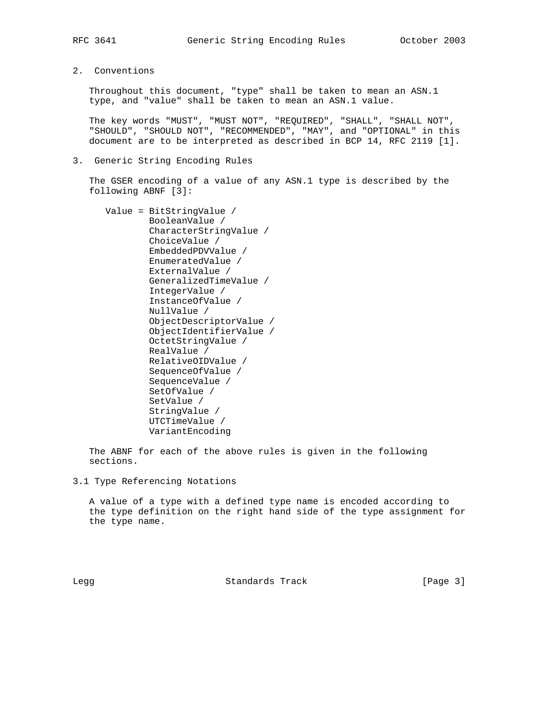2. Conventions

 Throughout this document, "type" shall be taken to mean an ASN.1 type, and "value" shall be taken to mean an ASN.1 value.

 The key words "MUST", "MUST NOT", "REQUIRED", "SHALL", "SHALL NOT", "SHOULD", "SHOULD NOT", "RECOMMENDED", "MAY", and "OPTIONAL" in this document are to be interpreted as described in BCP 14, RFC 2119 [1].

3. Generic String Encoding Rules

 The GSER encoding of a value of any ASN.1 type is described by the following ABNF [3]:

 Value = BitStringValue / BooleanValue / CharacterStringValue / ChoiceValue / EmbeddedPDVValue / EnumeratedValue / ExternalValue / GeneralizedTimeValue / IntegerValue / InstanceOfValue / NullValue / ObjectDescriptorValue / ObjectIdentifierValue / OctetStringValue / RealValue / RelativeOIDValue / SequenceOfValue / SequenceValue / SetOfValue / SetValue / StringValue / UTCTimeValue / VariantEncoding

 The ABNF for each of the above rules is given in the following sections.

3.1 Type Referencing Notations

 A value of a type with a defined type name is encoded according to the type definition on the right hand side of the type assignment for the type name.

Legg Standards Track [Page 3]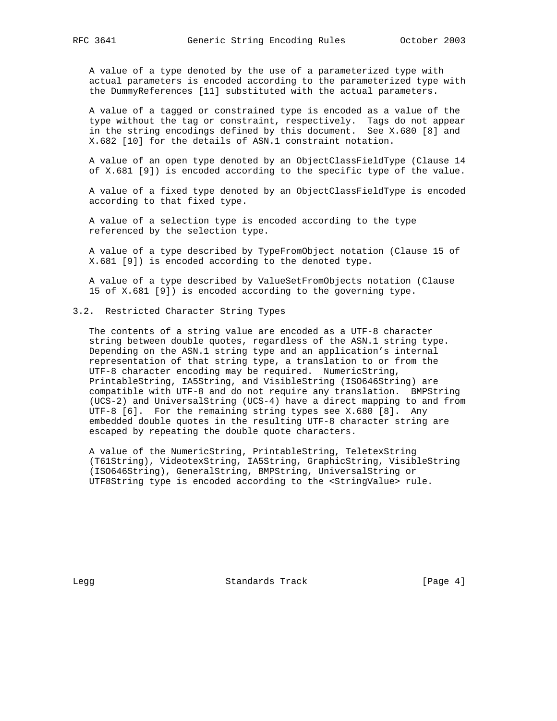A value of a type denoted by the use of a parameterized type with actual parameters is encoded according to the parameterized type with the DummyReferences [11] substituted with the actual parameters.

 A value of a tagged or constrained type is encoded as a value of the type without the tag or constraint, respectively. Tags do not appear in the string encodings defined by this document. See X.680 [8] and X.682 [10] for the details of ASN.1 constraint notation.

 A value of an open type denoted by an ObjectClassFieldType (Clause 14 of X.681 [9]) is encoded according to the specific type of the value.

 A value of a fixed type denoted by an ObjectClassFieldType is encoded according to that fixed type.

 A value of a selection type is encoded according to the type referenced by the selection type.

 A value of a type described by TypeFromObject notation (Clause 15 of X.681 [9]) is encoded according to the denoted type.

 A value of a type described by ValueSetFromObjects notation (Clause 15 of X.681 [9]) is encoded according to the governing type.

## 3.2. Restricted Character String Types

 The contents of a string value are encoded as a UTF-8 character string between double quotes, regardless of the ASN.1 string type. Depending on the ASN.1 string type and an application's internal representation of that string type, a translation to or from the UTF-8 character encoding may be required. NumericString, PrintableString, IA5String, and VisibleString (ISO646String) are compatible with UTF-8 and do not require any translation. BMPString (UCS-2) and UniversalString (UCS-4) have a direct mapping to and from UTF-8 [6]. For the remaining string types see X.680 [8]. Any embedded double quotes in the resulting UTF-8 character string are escaped by repeating the double quote characters.

 A value of the NumericString, PrintableString, TeletexString (T61String), VideotexString, IA5String, GraphicString, VisibleString (ISO646String), GeneralString, BMPString, UniversalString or UTF8String type is encoded according to the <StringValue> rule.

Legg Standards Track [Page 4]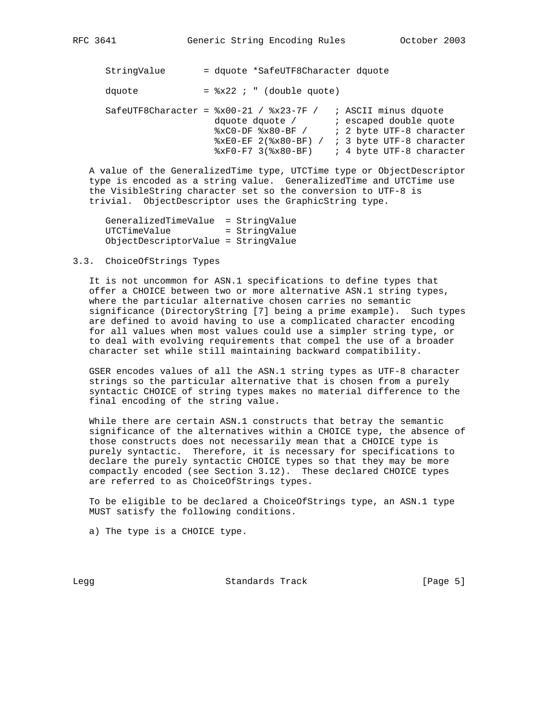| RFC | 3641 |
|-----|------|
|     |      |

 StringValue = dquote \*SafeUTF8Character dquote dquote  $=$   $x22$  ; " (double quote) SafeUTF8Character =  $8x00-21$  /  $8x23-7F$  / ; ASCII minus dquote dquote dquote / The secaped double quote  $xC0-DF$   $*x80-BF$  /  $i$  2 byte UTF-8 character %xE0-EF 2(%x80-BF) / ; 3 byte UTF-8 character  $xF0-F7$  3( $x80-BF$ ) ; 4 byte UTF-8 character

 A value of the GeneralizedTime type, UTCTime type or ObjectDescriptor type is encoded as a string value. GeneralizedTime and UTCTime use the VisibleString character set so the conversion to UTF-8 is trivial. ObjectDescriptor uses the GraphicString type.

 GeneralizedTimeValue = StringValue UTCTimeValue = StringValue ObjectDescriptorValue = StringValue

### 3.3. ChoiceOfStrings Types

 It is not uncommon for ASN.1 specifications to define types that offer a CHOICE between two or more alternative ASN.1 string types, where the particular alternative chosen carries no semantic significance (DirectoryString [7] being a prime example). Such types are defined to avoid having to use a complicated character encoding for all values when most values could use a simpler string type, or to deal with evolving requirements that compel the use of a broader character set while still maintaining backward compatibility.

 GSER encodes values of all the ASN.1 string types as UTF-8 character strings so the particular alternative that is chosen from a purely syntactic CHOICE of string types makes no material difference to the final encoding of the string value.

 While there are certain ASN.1 constructs that betray the semantic significance of the alternatives within a CHOICE type, the absence of those constructs does not necessarily mean that a CHOICE type is purely syntactic. Therefore, it is necessary for specifications to declare the purely syntactic CHOICE types so that they may be more compactly encoded (see Section 3.12). These declared CHOICE types are referred to as ChoiceOfStrings types.

 To be eligible to be declared a ChoiceOfStrings type, an ASN.1 type MUST satisfy the following conditions.

a) The type is a CHOICE type.

Legg Standards Track [Page 5]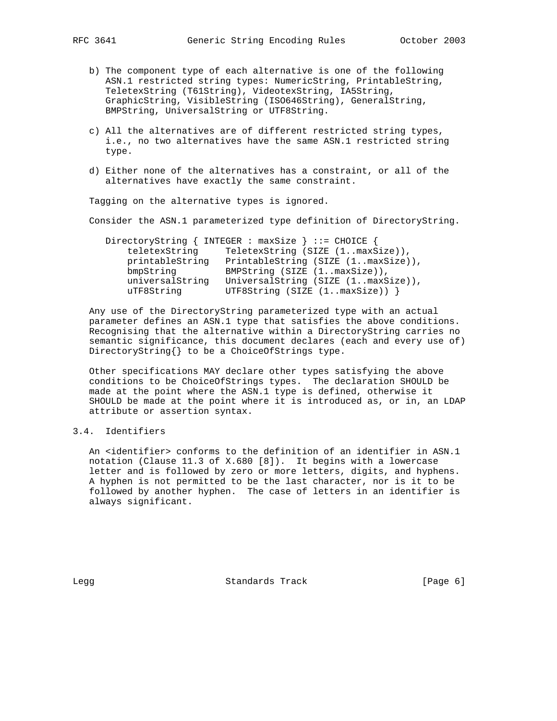- b) The component type of each alternative is one of the following ASN.1 restricted string types: NumericString, PrintableString, TeletexString (T61String), VideotexString, IA5String, GraphicString, VisibleString (ISO646String), GeneralString, BMPString, UniversalString or UTF8String.
- c) All the alternatives are of different restricted string types, i.e., no two alternatives have the same ASN.1 restricted string type.
- d) Either none of the alternatives has a constraint, or all of the alternatives have exactly the same constraint.

Tagging on the alternative types is ignored.

Consider the ASN.1 parameterized type definition of DirectoryString.

|                 | DirectoryString { INTEGER : maxSize } ::= CHOICE { |
|-----------------|----------------------------------------------------|
| teletexString   | TeletexString (SIZE (1maxSize)),                   |
| printableString | PrintableString (SIZE (1maxSize)),                 |
| bmpString       | BMPString (SIZE (1maxSize)),                       |
| universalString | UniversalString (SIZE (1maxSize)),                 |
| uTF8String      | UTF8String (SIZE $(1maxSize)$ ) }                  |

 Any use of the DirectoryString parameterized type with an actual parameter defines an ASN.1 type that satisfies the above conditions. Recognising that the alternative within a DirectoryString carries no semantic significance, this document declares (each and every use of) DirectoryString{} to be a ChoiceOfStrings type.

 Other specifications MAY declare other types satisfying the above conditions to be ChoiceOfStrings types. The declaration SHOULD be made at the point where the ASN.1 type is defined, otherwise it SHOULD be made at the point where it is introduced as, or in, an LDAP attribute or assertion syntax.

# 3.4. Identifiers

An <identifier> conforms to the definition of an identifier in ASN.1 notation (Clause 11.3 of X.680 [8]). It begins with a lowercase letter and is followed by zero or more letters, digits, and hyphens. A hyphen is not permitted to be the last character, nor is it to be followed by another hyphen. The case of letters in an identifier is always significant.

Legg Standards Track [Page 6]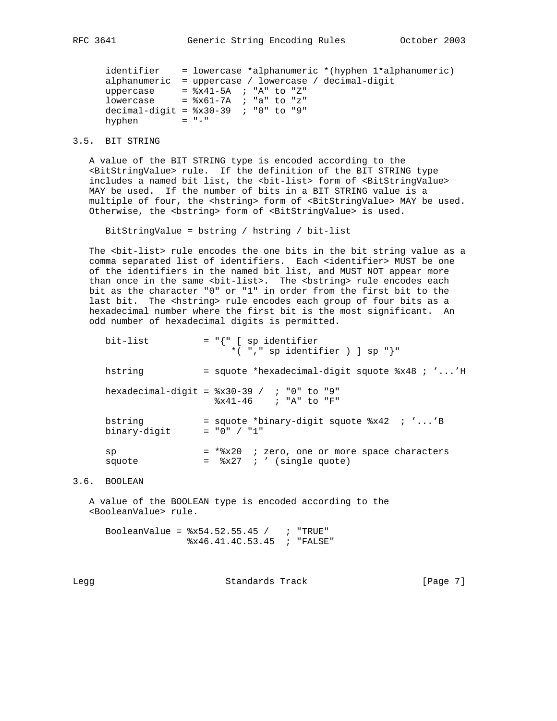identifier = lowercase \*alphanumeric \*(hyphen 1\*alphanumeric) alphanumeric = uppercase / lowercase / decimal-digit uppercase  $=$   $2 \times 41 - 5$ A ; "A" to "Z" lowercase  $=$   $*$  $x$ 61-7A ; "a" to "z" decimal-digit =  $8x30-39$  ; "0" to "9" hyphen  $= "-"$ 

# 3.5. BIT STRING

 A value of the BIT STRING type is encoded according to the <BitStringValue> rule. If the definition of the BIT STRING type includes a named bit list, the <br/> <br/> <br/>ht>> form of <BitStringValue> MAY be used. If the number of bits in a BIT STRING value is a multiple of four, the <hstring> form of <BitStringValue> MAY be used. Otherwise, the <br/>bstring> form of <BitStringValue> is used.

BitStringValue = bstring / hstring / bit-list

 The <bit-list> rule encodes the one bits in the bit string value as a comma separated list of identifiers. Each <identifier> MUST be one of the identifiers in the named bit list, and MUST NOT appear more than once in the same <br/>>bit-list>. The <br/> <br/>kbstring> rule encodes each bit as the character "0" or "1" in order from the first bit to the last bit. The <hstring> rule encodes each group of four bits as a hexadecimal number where the first bit is the most significant. An odd number of hexadecimal digits is permitted.

| bit-list                | $= "{\nvert {\nvert}}$ [ sp identifier<br>*( $", "$ sp identifier ) ] sp $"$ ]             |
|-------------------------|--------------------------------------------------------------------------------------------|
| hstring                 | = squote *hexadecimal-digit squote %x48 ; ''H                                              |
|                         | hexadecimal-digit = $8x30-39$ / ; "0" to "9"<br>$8x41-46$ ; "A" to "F"                     |
| bstring<br>binary-digit | = squote *binary-digit squote $8x42$ ; ''B<br>$= "0" / "1"$                                |
| sp<br>squote            | = *%x20 ; zero, one or more space characters<br>$=$ $\frac{1}{2}x^{27}$ ; ' (single quote) |

# 3.6. BOOLEAN

 A value of the BOOLEAN type is encoded according to the <BooleanValue> rule.

BooleanValue =  $8x54.52.55.45 /$  ; "TRUE" %x46.41.4C.53.45 ; "FALSE"

Legg Standards Track [Page 7]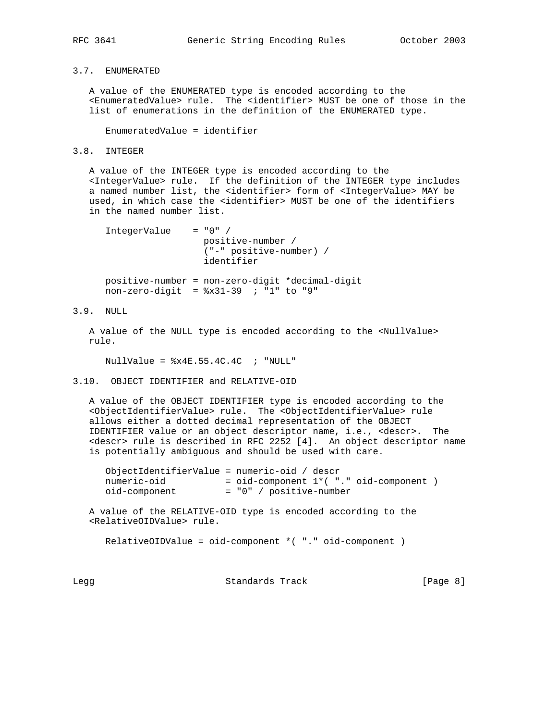## 3.7. ENUMERATED

 A value of the ENUMERATED type is encoded according to the <EnumeratedValue> rule. The <identifier> MUST be one of those in the list of enumerations in the definition of the ENUMERATED type.

EnumeratedValue = identifier

## 3.8. INTEGER

 A value of the INTEGER type is encoded according to the <IntegerValue> rule. If the definition of the INTEGER type includes a named number list, the <identifier> form of <IntegerValue> MAY be used, in which case the <identifier> MUST be one of the identifiers in the named number list.

```
 IntegerValue = "0" /
                  positive-number /
                   ("-" positive-number) /
                   identifier
 positive-number = non-zero-digit *decimal-digit
 non-zero-digit = %x31-39 ; "1" to "9"
```
## 3.9. NULL

 A value of the NULL type is encoded according to the <NullValue> rule.

NullValue =  $x4E.55.4C.4C$  ; "NULL"

3.10. OBJECT IDENTIFIER and RELATIVE-OID

 A value of the OBJECT IDENTIFIER type is encoded according to the <ObjectIdentifierValue> rule. The <ObjectIdentifierValue> rule allows either a dotted decimal representation of the OBJECT IDENTIFIER value or an object descriptor name, i.e., <descr>. The <descr> rule is described in RFC 2252 [4]. An object descriptor name is potentially ambiguous and should be used with care.

 ObjectIdentifierValue = numeric-oid / descr numeric-oid = oid-component 1\*( "." oid-component ) oid-component = "0" / positive-number

 A value of the RELATIVE-OID type is encoded according to the <RelativeOIDValue> rule.

RelativeOIDValue = oid-component \*( "." oid-component )

Legg Standards Track [Page 8]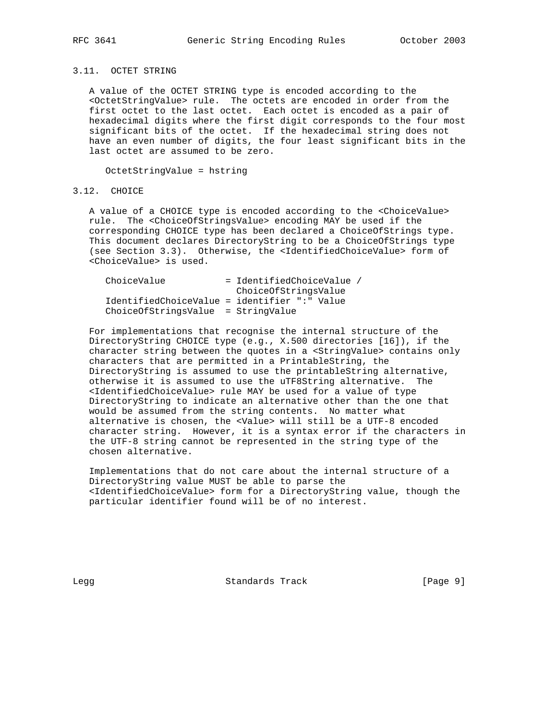## 3.11. OCTET STRING

 A value of the OCTET STRING type is encoded according to the <OctetStringValue> rule. The octets are encoded in order from the first octet to the last octet. Each octet is encoded as a pair of hexadecimal digits where the first digit corresponds to the four most significant bits of the octet. If the hexadecimal string does not have an even number of digits, the four least significant bits in the last octet are assumed to be zero.

OctetStringValue = hstring

### 3.12. CHOICE

 A value of a CHOICE type is encoded according to the <ChoiceValue> rule. The <ChoiceOfStringsValue> encoding MAY be used if the corresponding CHOICE type has been declared a ChoiceOfStrings type. This document declares DirectoryString to be a ChoiceOfStrings type (see Section 3.3). Otherwise, the <IdentifiedChoiceValue> form of <ChoiceValue> is used.

| ChoiceValue                                  | = IdentifiedChoiceValue / |
|----------------------------------------------|---------------------------|
|                                              | ChoiceOfStringsValue      |
| IdentifiedChoiceValue = identifier ":" Value |                           |
| ChoiceOfStringsValue = StringValue           |                           |

 For implementations that recognise the internal structure of the DirectoryString CHOICE type (e.g., X.500 directories [16]), if the character string between the quotes in a <StringValue> contains only characters that are permitted in a PrintableString, the DirectoryString is assumed to use the printableString alternative, otherwise it is assumed to use the uTF8String alternative. The <IdentifiedChoiceValue> rule MAY be used for a value of type DirectoryString to indicate an alternative other than the one that would be assumed from the string contents. No matter what alternative is chosen, the <Value> will still be a UTF-8 encoded character string. However, it is a syntax error if the characters in the UTF-8 string cannot be represented in the string type of the chosen alternative.

 Implementations that do not care about the internal structure of a DirectoryString value MUST be able to parse the <IdentifiedChoiceValue> form for a DirectoryString value, though the particular identifier found will be of no interest.

Legg Standards Track [Page 9]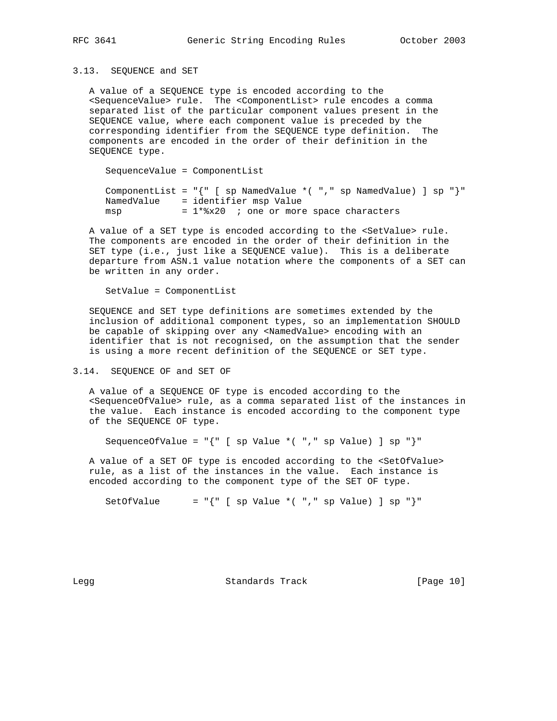3.13. SEQUENCE and SET

 A value of a SEQUENCE type is encoded according to the <SequenceValue> rule. The <ComponentList> rule encodes a comma separated list of the particular component values present in the SEQUENCE value, where each component value is preceded by the corresponding identifier from the SEQUENCE type definition. The components are encoded in the order of their definition in the SEQUENCE type.

 SequenceValue = ComponentList ComponentList =  $\lceil \cdot \rceil \rceil$  [ sp NamedValue \*( "," sp NamedValue) ] sp "}" NamedValue = identifier msp Value msp  $= 1*8x20$  ; one or more space characters

 A value of a SET type is encoded according to the <SetValue> rule. The components are encoded in the order of their definition in the SET type (i.e., just like a SEQUENCE value). This is a deliberate departure from ASN.1 value notation where the components of a SET can be written in any order.

SetValue = ComponentList

 SEQUENCE and SET type definitions are sometimes extended by the inclusion of additional component types, so an implementation SHOULD be capable of skipping over any <NamedValue> encoding with an identifier that is not recognised, on the assumption that the sender is using a more recent definition of the SEQUENCE or SET type.

3.14. SEQUENCE OF and SET OF

 A value of a SEQUENCE OF type is encoded according to the <SequenceOfValue> rule, as a comma separated list of the instances in the value. Each instance is encoded according to the component type of the SEQUENCE OF type.

SequenceOfValue =  $\lceil {\lceil {\cdot} \rceil \rceil} \rceil$  [ sp Value \*( "," sp Value) ] sp "}"

 A value of a SET OF type is encoded according to the <SetOfValue> rule, as a list of the instances in the value. Each instance is encoded according to the component type of the SET OF type.

SetOfValue = " $\{$ " [ sp Value \*( ", " sp Value) ] sp " $\}$ "

Legg **Standards Track** [Page 10]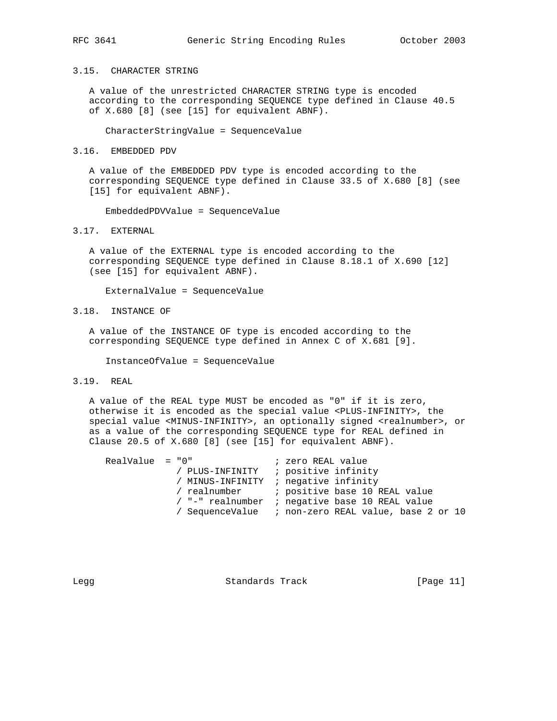### 3.15. CHARACTER STRING

 A value of the unrestricted CHARACTER STRING type is encoded according to the corresponding SEQUENCE type defined in Clause 40.5 of X.680 [8] (see [15] for equivalent ABNF).

CharacterStringValue = SequenceValue

### 3.16. EMBEDDED PDV

 A value of the EMBEDDED PDV type is encoded according to the corresponding SEQUENCE type defined in Clause 33.5 of X.680 [8] (see [15] for equivalent ABNF).

EmbeddedPDVValue = SequenceValue

### 3.17. EXTERNAL

 A value of the EXTERNAL type is encoded according to the corresponding SEQUENCE type defined in Clause 8.18.1 of X.690 [12] (see [15] for equivalent ABNF).

ExternalValue = SequenceValue

3.18. INSTANCE OF

 A value of the INSTANCE OF type is encoded according to the corresponding SEQUENCE type defined in Annex C of X.681 [9].

InstanceOfValue = SequenceValue

## 3.19. REAL

 A value of the REAL type MUST be encoded as "0" if it is zero, otherwise it is encoded as the special value <PLUS-INFINITY>, the special value <MINUS-INFINITY>, an optionally signed <realnumber>, or as a value of the corresponding SEQUENCE type for REAL defined in Clause 20.5 of X.680 [8] (see [15] for equivalent ABNF).

| $RealValue = "0"$ |  | ; zero REAL value                                   |
|-------------------|--|-----------------------------------------------------|
|                   |  | / PLUS-INFINITY : positive infinity                 |
|                   |  | / MINUS-INFINITY : negative infinity                |
|                   |  | / realnumber (bositive base 10 REAL value)          |
|                   |  | / "-" realnumber ; negative base 10 REAL value      |
|                   |  | / SequenceValue : non-zero REAL value, base 2 or 10 |
|                   |  |                                                     |

Legg Standards Track [Page 11]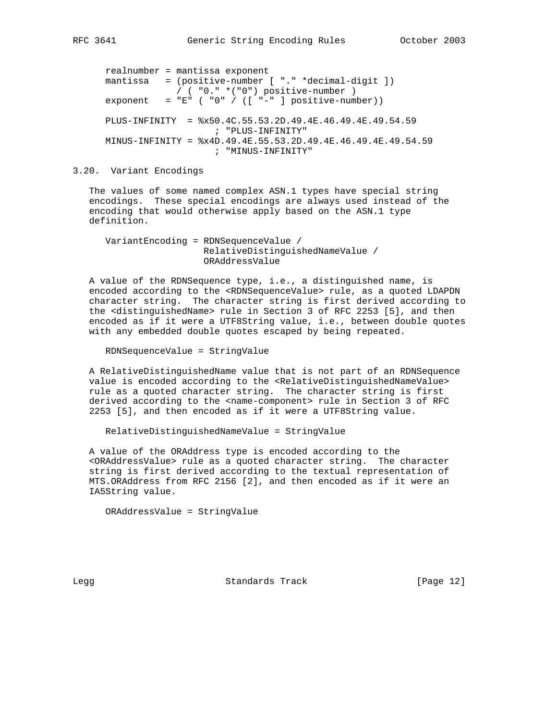```
 realnumber = mantissa exponent
 mantissa = (positive-number [ "." *decimal-digit ])
            / ( "0." *("0") positive-number )
exponent = "E" ("0" / (["-" ] positive-number))
 PLUS-INFINITY = %x50.4C.55.53.2D.49.4E.46.49.4E.49.54.59
                    ; "PLUS-INFINITY"
 MINUS-INFINITY = %x4D.49.4E.55.53.2D.49.4E.46.49.4E.49.54.59
                    ; "MINUS-INFINITY"
```
### 3.20. Variant Encodings

 The values of some named complex ASN.1 types have special string encodings. These special encodings are always used instead of the encoding that would otherwise apply based on the ASN.1 type definition.

 VariantEncoding = RDNSequenceValue / RelativeDistinguishedNameValue / ORAddressValue

 A value of the RDNSequence type, i.e., a distinguished name, is encoded according to the <RDNSequenceValue> rule, as a quoted LDAPDN character string. The character string is first derived according to the <distinguishedName> rule in Section 3 of RFC 2253 [5], and then encoded as if it were a UTF8String value, i.e., between double quotes with any embedded double quotes escaped by being repeated.

RDNSequenceValue = StringValue

 A RelativeDistinguishedName value that is not part of an RDNSequence value is encoded according to the <RelativeDistinguishedNameValue> rule as a quoted character string. The character string is first derived according to the <name-component> rule in Section 3 of RFC 2253 [5], and then encoded as if it were a UTF8String value.

RelativeDistinguishedNameValue = StringValue

 A value of the ORAddress type is encoded according to the <ORAddressValue> rule as a quoted character string. The character string is first derived according to the textual representation of MTS.ORAddress from RFC 2156 [2], and then encoded as if it were an IA5String value.

ORAddressValue = StringValue

Legg **Standards Track** [Page 12]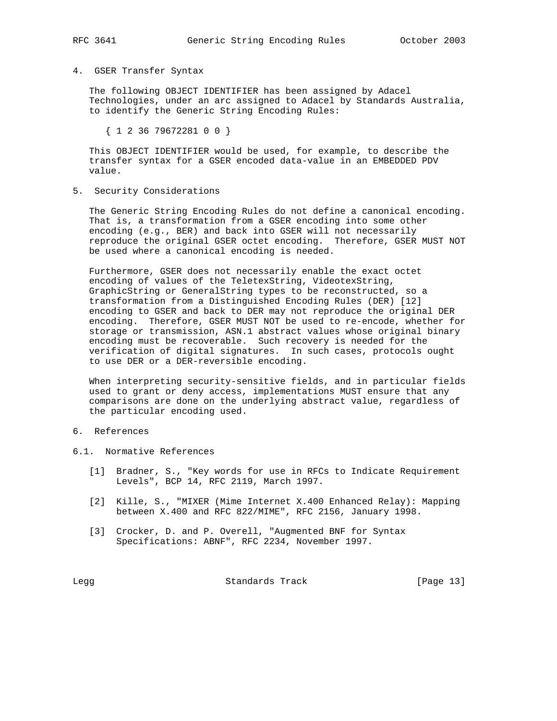### 4. GSER Transfer Syntax

 The following OBJECT IDENTIFIER has been assigned by Adacel Technologies, under an arc assigned to Adacel by Standards Australia, to identify the Generic String Encoding Rules:

{ 1 2 36 79672281 0 0 }

 This OBJECT IDENTIFIER would be used, for example, to describe the transfer syntax for a GSER encoded data-value in an EMBEDDED PDV value.

5. Security Considerations

 The Generic String Encoding Rules do not define a canonical encoding. That is, a transformation from a GSER encoding into some other encoding (e.g., BER) and back into GSER will not necessarily reproduce the original GSER octet encoding. Therefore, GSER MUST NOT be used where a canonical encoding is needed.

 Furthermore, GSER does not necessarily enable the exact octet encoding of values of the TeletexString, VideotexString, GraphicString or GeneralString types to be reconstructed, so a transformation from a Distinguished Encoding Rules (DER) [12] encoding to GSER and back to DER may not reproduce the original DER encoding. Therefore, GSER MUST NOT be used to re-encode, whether for storage or transmission, ASN.1 abstract values whose original binary encoding must be recoverable. Such recovery is needed for the verification of digital signatures. In such cases, protocols ought to use DER or a DER-reversible encoding.

 When interpreting security-sensitive fields, and in particular fields used to grant or deny access, implementations MUST ensure that any comparisons are done on the underlying abstract value, regardless of the particular encoding used.

## 6. References

- 6.1. Normative References
	- [1] Bradner, S., "Key words for use in RFCs to Indicate Requirement Levels", BCP 14, RFC 2119, March 1997.
	- [2] Kille, S., "MIXER (Mime Internet X.400 Enhanced Relay): Mapping between X.400 and RFC 822/MIME", RFC 2156, January 1998.
	- [3] Crocker, D. and P. Overell, "Augmented BNF for Syntax Specifications: ABNF", RFC 2234, November 1997.

Legg **Standards Track** [Page 13]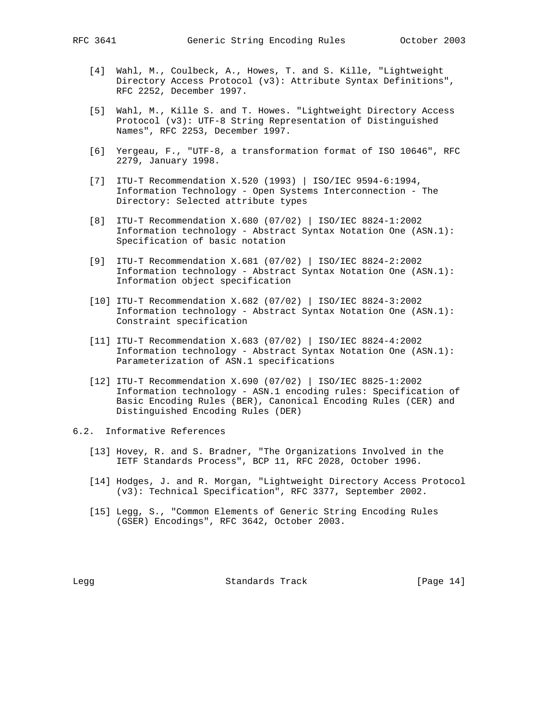- - [4] Wahl, M., Coulbeck, A., Howes, T. and S. Kille, "Lightweight Directory Access Protocol (v3): Attribute Syntax Definitions", RFC 2252, December 1997.
	- [5] Wahl, M., Kille S. and T. Howes. "Lightweight Directory Access Protocol (v3): UTF-8 String Representation of Distinguished Names", RFC 2253, December 1997.
	- [6] Yergeau, F., "UTF-8, a transformation format of ISO 10646", RFC 2279, January 1998.
	- [7] ITU-T Recommendation X.520 (1993) | ISO/IEC 9594-6:1994, Information Technology - Open Systems Interconnection - The Directory: Selected attribute types
	- [8] ITU-T Recommendation X.680 (07/02) | ISO/IEC 8824-1:2002 Information technology - Abstract Syntax Notation One (ASN.1): Specification of basic notation
	- [9] ITU-T Recommendation X.681 (07/02) | ISO/IEC 8824-2:2002 Information technology - Abstract Syntax Notation One (ASN.1): Information object specification
	- [10] ITU-T Recommendation X.682 (07/02) | ISO/IEC 8824-3:2002 Information technology - Abstract Syntax Notation One (ASN.1): Constraint specification
	- [11] ITU-T Recommendation X.683 (07/02) | ISO/IEC 8824-4:2002 Information technology - Abstract Syntax Notation One (ASN.1): Parameterization of ASN.1 specifications
	- [12] ITU-T Recommendation X.690 (07/02) | ISO/IEC 8825-1:2002 Information technology - ASN.1 encoding rules: Specification of Basic Encoding Rules (BER), Canonical Encoding Rules (CER) and Distinguished Encoding Rules (DER)
- 6.2. Informative References
	- [13] Hovey, R. and S. Bradner, "The Organizations Involved in the IETF Standards Process", BCP 11, RFC 2028, October 1996.
	- [14] Hodges, J. and R. Morgan, "Lightweight Directory Access Protocol (v3): Technical Specification", RFC 3377, September 2002.
	- [15] Legg, S., "Common Elements of Generic String Encoding Rules (GSER) Encodings", RFC 3642, October 2003.

Legg Standards Track [Page 14]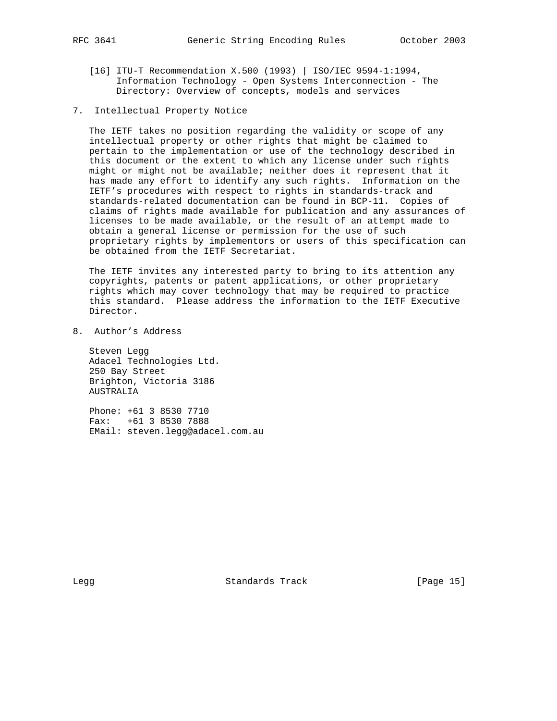- [16] ITU-T Recommendation X.500 (1993) | ISO/IEC 9594-1:1994, Information Technology - Open Systems Interconnection - The Directory: Overview of concepts, models and services
- 7. Intellectual Property Notice

 The IETF takes no position regarding the validity or scope of any intellectual property or other rights that might be claimed to pertain to the implementation or use of the technology described in this document or the extent to which any license under such rights might or might not be available; neither does it represent that it has made any effort to identify any such rights. Information on the IETF's procedures with respect to rights in standards-track and standards-related documentation can be found in BCP-11. Copies of claims of rights made available for publication and any assurances of licenses to be made available, or the result of an attempt made to obtain a general license or permission for the use of such proprietary rights by implementors or users of this specification can be obtained from the IETF Secretariat.

 The IETF invites any interested party to bring to its attention any copyrights, patents or patent applications, or other proprietary rights which may cover technology that may be required to practice this standard. Please address the information to the IETF Executive Director.

8. Author's Address

 Steven Legg Adacel Technologies Ltd. 250 Bay Street Brighton, Victoria 3186 AUSTRALIA

 Phone: +61 3 8530 7710 Fax: +61 3 8530 7888 EMail: steven.legg@adacel.com.au

Legg Standards Track [Page 15]